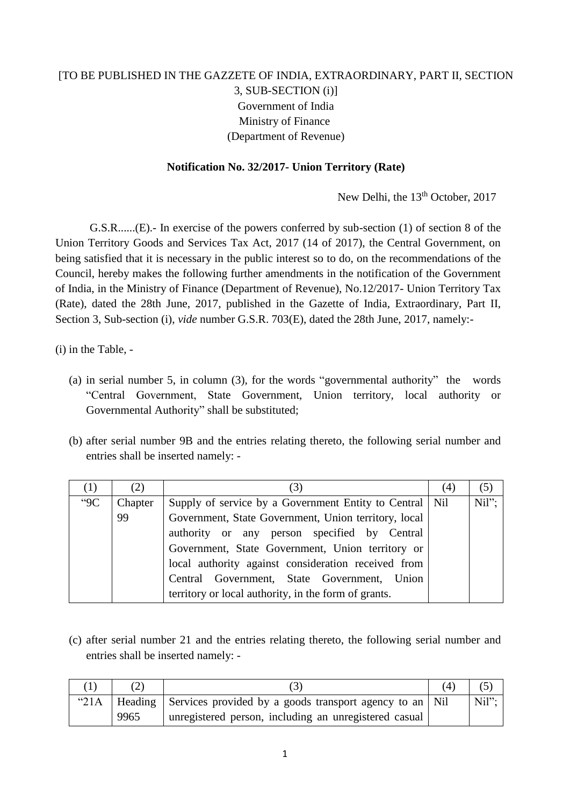## [TO BE PUBLISHED IN THE GAZZETE OF INDIA, EXTRAORDINARY, PART II, SECTION 3, SUB-SECTION (i)] Government of India Ministry of Finance (Department of Revenue)

## **Notification No. 32/2017- Union Territory (Rate)**

New Delhi, the 13<sup>th</sup> October, 2017

G.S.R......(E).- In exercise of the powers conferred by sub-section (1) of section 8 of the Union Territory Goods and Services Tax Act, 2017 (14 of 2017), the Central Government, on being satisfied that it is necessary in the public interest so to do, on the recommendations of the Council, hereby makes the following further amendments in the notification of the Government of India, in the Ministry of Finance (Department of Revenue), No.12/2017- Union Territory Tax (Rate), dated the 28th June, 2017, published in the Gazette of India, Extraordinary, Part II, Section 3, Sub-section (i), *vide* number G.S.R. 703(E), dated the 28th June, 2017, namely:-

(i) in the Table, -

- (a) in serial number 5, in column (3), for the words "governmental authority" the words "Central Government, State Government, Union territory, local authority or Governmental Authority" shall be substituted;
- (b) after serial number 9B and the entries relating thereto, the following serial number and entries shall be inserted namely: -

| (1)   | (2)     | (3)                                                       | (4) | (5)   |
|-------|---------|-----------------------------------------------------------|-----|-------|
| $-9C$ | Chapter | Supply of service by a Government Entity to Central   Nil |     | Nil"; |
|       | 99      | Government, State Government, Union territory, local      |     |       |
|       |         | authority or any person specified by Central              |     |       |
|       |         | Government, State Government, Union territory or          |     |       |
|       |         | local authority against consideration received from       |     |       |
|       |         | Central Government, State Government, Union               |     |       |
|       |         | territory or local authority, in the form of grants.      |     |       |

(c) after serial number 21 and the entries relating thereto, the following serial number and entries shall be inserted namely: -

|      |                                                                            | (4) |      |
|------|----------------------------------------------------------------------------|-----|------|
|      | "21A   Heading   Services provided by a goods transport agency to an   Nil |     | Nil" |
| 9965 | unregistered person, including an unregistered casual                      |     |      |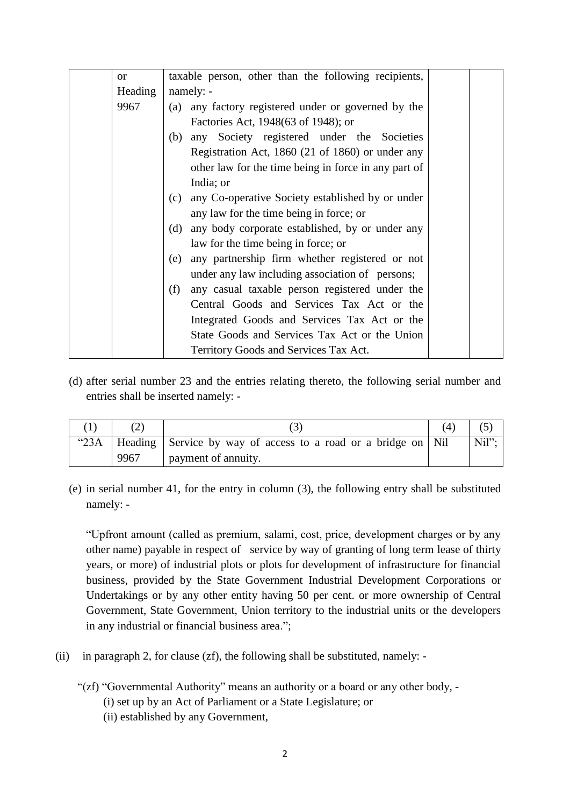| $\alpha$ | taxable person, other than the following recipients,    |
|----------|---------------------------------------------------------|
| Heading  | namely: -                                               |
| 9967     | (a) any factory registered under or governed by the     |
|          | Factories Act, 1948(63 of 1948); or                     |
|          | (b) any Society registered under the Societies          |
|          | Registration Act, 1860 (21 of 1860) or under any        |
|          | other law for the time being in force in any part of    |
|          | India; or                                               |
|          | any Co-operative Society established by or under<br>(c) |
|          | any law for the time being in force; or                 |
|          | any body corporate established, by or under any<br>(d)  |
|          | law for the time being in force; or                     |
|          | any partnership firm whether registered or not<br>(e)   |
|          | under any law including association of persons;         |
|          | (f)<br>any casual taxable person registered under the   |
|          | Central Goods and Services Tax Act or the               |
|          | Integrated Goods and Services Tax Act or the            |
|          | State Goods and Services Tax Act or the Union           |
|          | Territory Goods and Services Tax Act.                   |

(d) after serial number 23 and the entries relating thereto, the following serial number and entries shall be inserted namely: -

|       |      |                                                               | $\left(4\right)$ |       |
|-------|------|---------------------------------------------------------------|------------------|-------|
| "23A" |      | Heading Service by way of access to a road or a bridge on Nil |                  | Nil"; |
|       | 9967 | payment of annuity.                                           |                  |       |

(e) in serial number 41, for the entry in column (3), the following entry shall be substituted namely: -

"Upfront amount (called as premium, salami, cost, price, development charges or by any other name) payable in respect of service by way of granting of long term lease of thirty years, or more) of industrial plots or plots for development of infrastructure for financial business, provided by the State Government Industrial Development Corporations or Undertakings or by any other entity having 50 per cent. or more ownership of Central Government, State Government, Union territory to the industrial units or the developers in any industrial or financial business area.";

- (ii) in paragraph 2, for clause  $(zf)$ , the following shall be substituted, namely: -
	- "(zf) "Governmental Authority" means an authority or a board or any other body,
		- (i) set up by an Act of Parliament or a State Legislature; or
		- (ii) established by any Government,